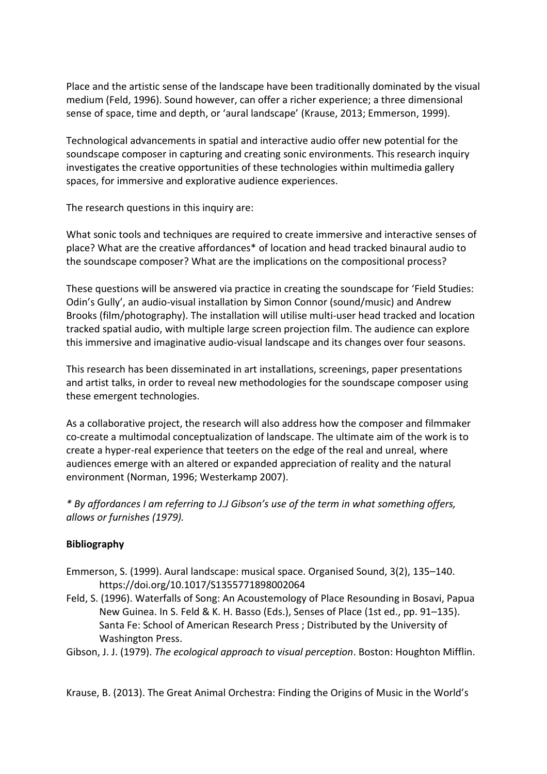Place and the artistic sense of the landscape have been traditionally dominated by the visual medium (Feld, 1996). Sound however, can offer a richer experience; a three dimensional sense of space, time and depth, or 'aural landscape' (Krause, 2013; Emmerson, 1999).

Technological advancements in spatial and interactive audio offer new potential for the soundscape composer in capturing and creating sonic environments. This research inquiry investigates the creative opportunities of these technologies within multimedia gallery spaces, for immersive and explorative audience experiences.

The research questions in this inquiry are:

What sonic tools and techniques are required to create immersive and interactive senses of place? What are the creative affordances\* of location and head tracked binaural audio to the soundscape composer? What are the implications on the compositional process?

These questions will be answered via practice in creating the soundscape for 'Field Studies: Odin's Gully', an audio-visual installation by Simon Connor (sound/music) and Andrew Brooks (film/photography). The installation will utilise multi-user head tracked and location tracked spatial audio, with multiple large screen projection film. The audience can explore this immersive and imaginative audio-visual landscape and its changes over four seasons.

This research has been disseminated in art installations, screenings, paper presentations and artist talks, in order to reveal new methodologies for the soundscape composer using these emergent technologies.

As a collaborative project, the research will also address how the composer and filmmaker co-create a multimodal conceptualization of landscape. The ultimate aim of the work is to create a hyper-real experience that teeters on the edge of the real and unreal, where audiences emerge with an altered or expanded appreciation of reality and the natural environment (Norman, 1996; Westerkamp 2007).

*\* By affordances I am referring to J.J Gibson's use of the term in what something offers, allows or furnishes (1979).*

## **Bibliography**

- Emmerson, S. (1999). Aural landscape: musical space. Organised Sound, 3(2), 135–140. https://doi.org/10.1017/S1355771898002064
- Feld, S. (1996). Waterfalls of Song: An Acoustemology of Place Resounding in Bosavi, Papua New Guinea. In S. Feld & K. H. Basso (Eds.), Senses of Place (1st ed., pp. 91–135). Santa Fe: School of American Research Press ; Distributed by the University of Washington Press.
- Gibson, J. J. (1979). *The ecological approach to visual perception*. Boston: Houghton Mifflin.

Krause, B. (2013). The Great Animal Orchestra: Finding the Origins of Music in the World's